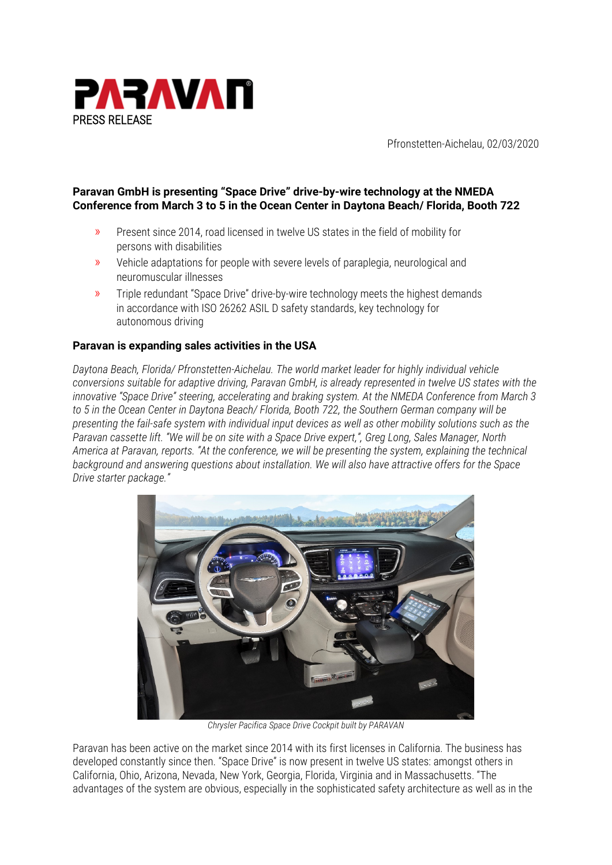

Pfronstetten-Aichelau, 02/03/2020

# **Paravan GmbH is presenting "Space Drive" drive-by-wire technology at the NMEDA Conference from March 3 to 5 in the Ocean Center in Daytona Beach/ Florida, Booth 722**

- » Present since 2014, road licensed in twelve US states in the field of mobility for persons with disabilities
- » Vehicle adaptations for people with severe levels of paraplegia, neurological and neuromuscular illnesses
- » Triple redundant "Space Drive" drive-by-wire technology meets the highest demands in accordance with ISO 26262 ASIL D safety standards, key technology for autonomous driving

## **Paravan is expanding sales activities in the USA**

*Daytona Beach, Florida/ Pfronstetten-Aichelau. The world market leader for highly individual vehicle conversions suitable for adaptive driving, Paravan GmbH, is already represented in twelve US states with the innovative "Space Drive" steering, accelerating and braking system. At the NMEDA Conference from March 3 to 5 in the Ocean Center in Daytona Beach/ Florida, Booth 722, the Southern German company will be presenting the fail-safe system with individual input devices as well as other mobility solutions such as the Paravan cassette lift. "We will be on site with a Space Drive expert,", Greg Long, Sales Manager, North America at Paravan, reports. "At the conference, we will be presenting the system, explaining the technical background and answering questions about installation. We will also have attractive offers for the Space Drive starter package."*



*Chrysler Pacifica Space Drive Cockpit built by PARAVAN*

Paravan has been active on the market since 2014 with its first licenses in California. The business has developed constantly since then. "Space Drive" is now present in twelve US states: amongst others in California, Ohio, Arizona, Nevada, New York, Georgia, Florida, Virginia and in Massachusetts. "The advantages of the system are obvious, especially in the sophisticated safety architecture as well as in the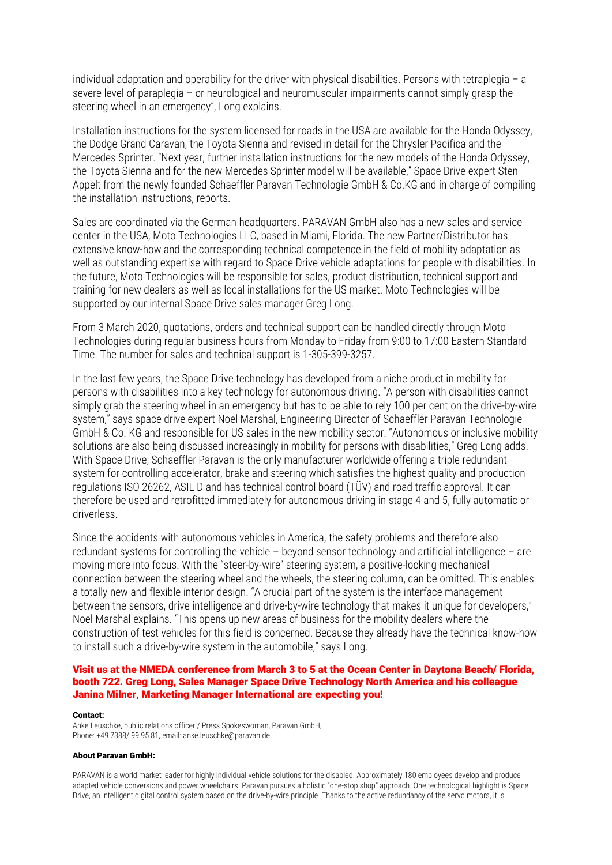individual adaptation and operability for the driver with physical disabilities. Persons with tetraplegia – a severe level of paraplegia – or neurological and neuromuscular impairments cannot simply grasp the steering wheel in an emergency", Long explains.

Installation instructions for the system licensed for roads in the USA are available for the Honda Odyssey, the Dodge Grand Caravan, the Toyota Sienna and revised in detail for the Chrysler Pacifica and the Mercedes Sprinter. "Next year, further installation instructions for the new models of the Honda Odyssey, the Toyota Sienna and for the new Mercedes Sprinter model will be available," Space Drive expert Sten Appelt from the newly founded Schaeffler Paravan Technologie GmbH & Co.KG and in charge of compiling the installation instructions, reports.

Sales are coordinated via the German headquarters. PARAVAN GmbH also has a new sales and service center in the USA, Moto Technologies LLC, based in Miami, Florida. The new Partner/Distributor has extensive know-how and the corresponding technical competence in the field of mobility adaptation as well as outstanding expertise with regard to Space Drive vehicle adaptations for people with disabilities. In the future, Moto Technologies will be responsible for sales, product distribution, technical support and training for new dealers as well as local installations for the US market. Moto Technologies will be supported by our internal Space Drive sales manager Greg Long.

From 3 March 2020, quotations, orders and technical support can be handled directly through Moto Technologies during regular business hours from Monday to Friday from 9:00 to 17:00 Eastern Standard Time. The number for sales and technical support is 1-305-399-3257.

In the last few years, the Space Drive technology has developed from a niche product in mobility for persons with disabilities into a key technology for autonomous driving. "A person with disabilities cannot simply grab the steering wheel in an emergency but has to be able to rely 100 per cent on the drive-by-wire system," says space drive expert Noel Marshal, Engineering Director of Schaeffler Paravan Technologie GmbH & Co. KG and responsible for US sales in the new mobility sector. "Autonomous or inclusive mobility solutions are also being discussed increasingly in mobility for persons with disabilities," Greg Long adds. With Space Drive, Schaeffler Paravan is the only manufacturer worldwide offering a triple redundant system for controlling accelerator, brake and steering which satisfies the highest quality and production regulations ISO 26262, ASIL D and has technical control board (TÜV) and road traffic approval. It can therefore be used and retrofitted immediately for autonomous driving in stage 4 and 5, fully automatic or driverless.

Since the accidents with autonomous vehicles in America, the safety problems and therefore also redundant systems for controlling the vehicle – beyond sensor technology and artificial intelligence – are moving more into focus. With the "steer-by-wire" steering system, a positive-locking mechanical connection between the steering wheel and the wheels, the steering column, can be omitted. This enables a totally new and flexible interior design. "A crucial part of the system is the interface management between the sensors, drive intelligence and drive-by-wire technology that makes it unique for developers," Noel Marshal explains. "This opens up new areas of business for the mobility dealers where the construction of test vehicles for this field is concerned. Because they already have the technical know-how to install such a drive-by-wire system in the automobile," says Long.

### Visit us at the NMEDA conference from March 3 to 5 at the Ocean Center in Daytona Beach/ Florida, booth 722. Greg Long, Sales Manager Space Drive Technology North America and his colleague Janina Milner, Marketing Manager International are expecting you!

### Contact:

Anke Leuschke, public relations officer / Press Spokeswoman, Paravan GmbH, Phone: +49 7388/ 99 95 81, email: anke.leuschke@paravan.de

### About Paravan GmbH:

PARAVAN is a world market leader for highly individual vehicle solutions for the disabled. Approximately 180 employees develop and produce adapted vehicle conversions and power wheelchairs. Paravan pursues a holistic "one-stop shop" approach. One technological highlight is Space Drive, an intelligent digital control system based on the drive-by-wire principle. Thanks to the active redundancy of the servo motors, it is